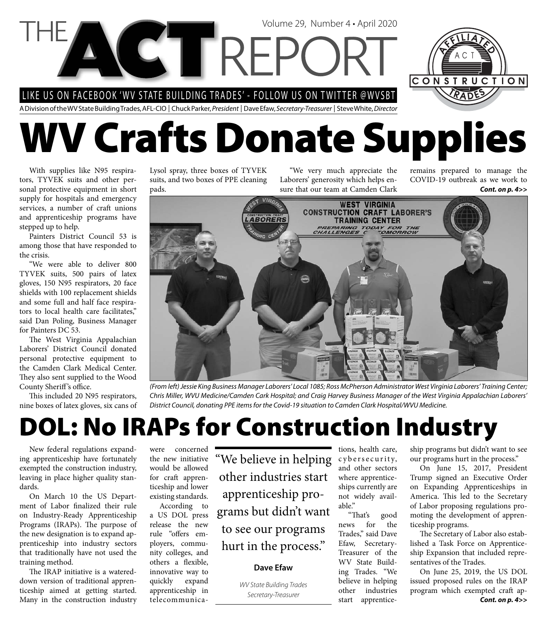LIKE US ON FACEBOOK 'WV STATE BUILDING TRADES' - FOLLOW US ON TWITTER @WVSBT

A Division of the WV State Building Trades, AFL-CIO | Chuck Parker, President | Dave Efaw, Secretary-Treasurer | Steve White, Director

# **WV Crafts Donate Supplies**

Volume 29, Number 4 • April 2020

With supplies like N95 respirators, TYVEK suits and other personal protective equipment in short supply for hospitals and emergency services, a number of craft unions and apprenticeship programs have stepped up to help.

Painters District Council 53 is among those that have responded to the crisis.

"We were able to deliver 800 TYVEK suits, 500 pairs of latex gloves, 150 N95 respirators, 20 face shields with 100 replacement shields and some full and half face respirators to local health care facilitates," said Dan Poling, Business Manager for Painters DC 53.

The West Virginia Appalachian Laborers' District Council donated personal protective equipment to the Camden Clark Medical Center. They also sent supplied to the Wood County Sheriff's office.

This included 20 N95 respirators, nine boxes of latex gloves, six cans of Lysol spray, three boxes of TYVEK suits, and two boxes of PPE cleaning pads.

"We very much appreciate the Laborers' generosity which helps ensure that our team at Camden Clark

*Cont. on p. 4>>* remains prepared to manage the COVID-19 outbreak as we work to

CONSTRUCTION



(From left) Jessie King Business Manager Laborers' Local 1085; Ross McPherson Administrator West Virginia Laborers' Training Center; Chris Miller, WVU Medicine/Camden Cark Hospital; and Craig Harvey Business Manager of the West Virginia Appalachian Laborers' District Council, donating PPE items for the Covid-19 situation to Camden Clark Hospital/WVU Medicine.

## **DOL: No IRAPs for Construction Industry**

New federal regulations expanding apprenticeship have fortunately exempted the construction industry, leaving in place higher quality standards.

On March 10 the US Department of Labor finalized their rule on Industry-Ready Apprenticeship Programs (IRAPs). The purpose of the new designation is to expand apprenticeship into industry sectors that traditionally have not used the training method.

The IRAP initiative is a watereddown version of traditional apprenticeship aimed at getting started. Many in the construction industry

were concerned the new initiative would be allowed for craft apprenticeship and lower existing standards.

According to a US DOL press release the new rule "offers employers, community colleges, and others a flexible, innovative way to quickly expand apprenticeship in telecommunica"We believe in helping other industries start apprenticeship programs but didn't want to see our programs hurt in the process."

### **Dave Efaw**

WV State Building Trades

tions, health care, c y b e r s e curity, and other sectors where apprenticeships currently are not widely available."

"That's good news for the Trades," said Dave Efaw, Secretary-Treasurer of the WV State Building Trades. "We believe in helping other industries

ship programs but didn't want to see our programs hurt in the process."

On June 15, 2017, President Trump signed an Executive Order on Expanding Apprenticeships in America. This led to the Secretary of Labor proposing regulations promoting the development of apprenticeship programs.

The Secretary of Labor also established a Task Force on Apprenticeship Expansion that included representatives of the Trades.

Secretary-Treasurer **Contract and Secretary-Treasurer Contract and Secretary-Treasurer Cont. on p. 4>>** On June 25, 2019, the US DOL issued proposed rules on the IRAP program which exempted craft ap-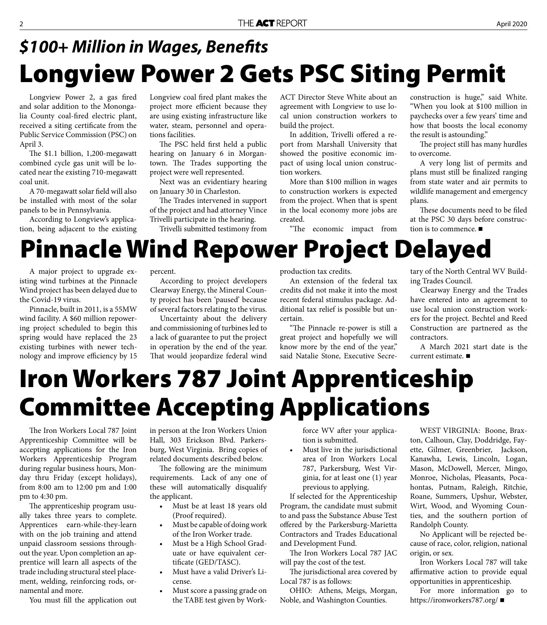## **Longview Power 2 Gets PSC Siting Permit** *\$100+ Million in Wages, Benefi ts*

Longview Power 2, a gas fired and solar addition to the Monongalia County coal-fired electric plant, received a siting certificate from the Public Service Commission (PSC) on April 3.

The  $$1.1$  billion, 1,200-megawatt combined cycle gas unit will be located near the existing 710-megawatt coal unit.

A 70-megawatt solar field will also be installed with most of the solar panels to be in Pennsylvania.

According to Longview's application, being adjacent to the existing Longview coal fired plant makes the project more efficient because they are using existing infrastructure like water, steam, personnel and operations facilities.

The PSC held first held a public hearing on January 6 in Morgantown. The Trades supporting the project were well represented.

Next was an evidentiary hearing on January 30 in Charleston.

The Trades intervened in support of the project and had attorney Vince Trivelli participate in the hearing.

Trivelli submitted testimony from

ACT Director Steve White about an agreement with Longview to use local union construction workers to build the project.

In addition, Trivelli offered a report from Marshall University that showed the positive economic impact of using local union construction workers.

More than \$100 million in wages to construction workers is expected from the project. When that is spent in the local economy more jobs are created.

"The economic impact from

construction is huge," said White. "When you look at \$100 million in paychecks over a few years' time and how that boosts the local economy the result is astounding."

The project still has many hurdles to overcome.

A very long list of permits and plans must still be finalized ranging from state water and air permits to wildlife management and emergency plans.

These documents need to be filed at the PSC 30 days before construction is to commence. ■

### **Pinnacle Wind Repower Project Delayed**

A major project to upgrade existing wind turbines at the Pinnacle Wind project has been delayed due to the Covid-19 virus.

Pinnacle, built in 2011, is a 55MW wind facility. A \$60 million repowering project scheduled to begin this spring would have replaced the 23 existing turbines with newer technology and improve efficiency by 15 percent.

According to project developers Clearway Energy, the Mineral County project has been 'paused' because of several factors relating to the virus.

Uncertainty about the delivery and commissioning of turbines led to a lack of guarantee to put the project in operation by the end of the year. That would jeopardize federal wind production tax credits.

An extension of the federal tax credits did not make it into the most recent federal stimulus package. Additional tax relief is possible but uncertain.

"The Pinnacle re-power is still a great project and hopefully we will know more by the end of the year," said Natalie Stone, Executive Secretary of the North Central WV Building Trades Council.

Clearway Energy and the Trades have entered into an agreement to use local union construction workers for the project. Bechtel and Reed Construction are partnered as the contractors.

A March 2021 start date is the current estimate.

## **Iron Workers 787 Joint Apprenticeship Committee Accepting Applications**

The Iron Workers Local 787 Joint Apprenticeship Committee will be accepting applications for the Iron Workers Apprenticeship Program during regular business hours, Monday thru Friday (except holidays), from 8:00 am to 12:00 pm and 1:00 pm to 4:30 pm.

The apprenticeship program usually takes three years to complete. Apprentices earn-while-they-learn with on the job training and attend unpaid classroom sessions throughout the year. Upon completion an apprentice will learn all aspects of the trade including structural steel placement, welding, reinforcing rods, ornamental and more.

You must fill the application out

in person at the Iron Workers Union Hall, 303 Erickson Blvd. Parkersburg, West Virginia. Bring copies of related documents described below.

The following are the minimum requirements. Lack of any one of these will automatically disqualify the applicant.

- Must be at least 18 years old (Proof required).
- Must be capable of doing work of the Iron Worker trade.
- Must be a High School Graduate or have equivalent certificate (GED/TASC).
- Must have a valid Driver's License.
- Must score a passing grade on the TABE test given by Work-

force WV after your application is submitted.

Must live in the jurisdictional area of Iron Workers Local 787, Parkersburg, West Virginia, for at least one (1) year previous to applying.

If selected for the Apprenticeship Program, the candidate must submit to and pass the Substance Abuse Test offered by the Parkersburg-Marietta Contractors and Trades Educational and Development Fund.

The Iron Workers Local 787 JAC will pay the cost of the test.

The jurisdictional area covered by Local 787 is as follows:

OHIO: Athens, Meigs, Morgan, Noble, and Washington Counties.

WEST VIRGINIA: Boone, Braxton, Calhoun, Clay, Doddridge, Fayette, Gilmer, Greenbrier, Jackson, Kanawha, Lewis, Lincoln, Logan, Mason, McDowell, Mercer, Mingo, Monroe, Nicholas, Pleasants, Pocahontas, Putnam, Raleigh, Ritchie, Roane, Summers, Upshur, Webster, Wirt, Wood, and Wyoming Counties, and the southern portion of Randolph County.

No Applicant will be rejected because of race, color, religion, national origin, or sex.

Iron Workers Local 787 will take affirmative action to provide equal opportunities in apprenticeship.

For more information go to https://ironworkers787.org/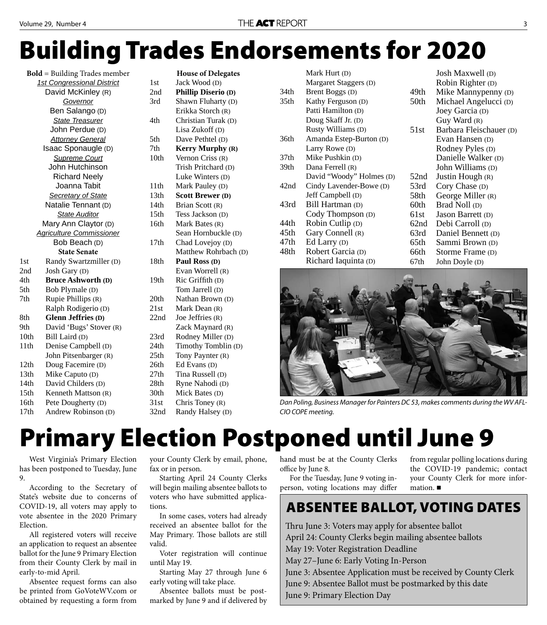## **Building Trades Endorsements for 2020**

**Bold** = Building Trades member *1st Congressional District* David McKinley (R) *Governor* Ben Salango (D) *State Treasurer* John Perdue (D) *Attorney General* Isaac Sponaugle (D) *Supreme Court* John Hutchinson Richard Neely Joanna Tabit *Secretary of State* Natalie Tennant (D) *State Auditor* Mary Ann Claytor (D) *Agriculture Commissioner* Bob Beach (D) **State Senate**  1st Randy Swartzmiller (D) 2nd Josh Gary (D) 4th **Bruce Ashworth (D)** 5th Bob Plymale (D) 7th Rupie Phillips (R) Ralph Rodigerio (D) 8th **Glenn Jeffries (D)** 9th David 'Bugs' Stover (R) 10th Bill Laird (D) 11th Denise Campbell (D) John Pitsenbarger (R) 12th Doug Facemire (D) 13th Mike Caputo (D) 14th David Childers (D) 15th Kenneth Mattson (R) 16th Pete Dougherty (D) 17th Andrew Robinson (D)

|                  | <b>House of Delegates</b> |  |  |
|------------------|---------------------------|--|--|
| 1st              | Jack Wood (D)             |  |  |
| 2nd              | Phillip Diserio (D)       |  |  |
| 3rd              | Shawn Fluharty (D)        |  |  |
|                  | Erikka Storch (R)         |  |  |
| 4th              | Christian Turak (D)       |  |  |
|                  | Lisa Zukoff (D)           |  |  |
| 5th              | Dave Pethtel (D)          |  |  |
| 7 <sub>th</sub>  | <b>Kerry Murphy (R)</b>   |  |  |
| 10th             | Vernon Criss (R)          |  |  |
|                  | Trish Pritchard (D)       |  |  |
|                  | Luke Winters (D)          |  |  |
| 11th             | Mark Pauley (D)           |  |  |
| 13th             | <b>Scott Brewer (D)</b>   |  |  |
| 14th             | Brian Scott (R)           |  |  |
| 15 <sub>th</sub> | Tess Jackson (D)          |  |  |
| 16th             | Mark Bates (R)            |  |  |
|                  | Sean Hornbuckle (D)       |  |  |
| 17th             | Chad Lovejoy (D)          |  |  |
|                  | Matthew Rohrbach (D)      |  |  |
| 18th             | Paul Ross (D)             |  |  |
|                  | Evan Worrell (R)          |  |  |
| 19th             | Ric Griffith (D)          |  |  |
|                  | Tom Jarrell (D)           |  |  |
| 20th             | Nathan Brown (D)          |  |  |
| 21st             | Mark Dean (R)             |  |  |
| 22nd             | Joe Jeffries (R)          |  |  |
|                  | Zack Maynard (R)          |  |  |
| 23rd             | Rodney Miller (D)         |  |  |
| 24th             | Timothy Tomblin (D)       |  |  |
| 25th             | Tony Paynter (R)          |  |  |
| 26th             | Ed Evans (D)              |  |  |
| 27th             | Tina Russell (D)          |  |  |
| 28th             | Ryne Nahodi (D)           |  |  |
| 30th             | Mick Bates (D)            |  |  |
| 31st             | Chris Toney (R)           |  |  |
| 32nd             | Randy Halsey (D)          |  |  |

|                  | Mark Hurt (D)            |      | <b>Josh Maxwell</b> (D) |  |
|------------------|--------------------------|------|-------------------------|--|
|                  | Margaret Staggers (D)    |      | Robin Righter (D)       |  |
| 34 <sub>th</sub> | Brent Boggs (D)          | 49th | Mike Manny penny (D)    |  |
| 35 <sub>th</sub> | Kathy Ferguson (D)       | 50th | Michael Angelucci (D)   |  |
|                  | Patti Hamilton (D)       |      | Joey Garcia (D)         |  |
|                  | Doug Skaff Jr. (D)       |      | Guy Ward (R)            |  |
|                  | Rusty Williams (D)       | 51st | Barbara Fleischauer (D) |  |
| 36th             | Amanda Estep-Burton (D)  |      | Evan Hansen (D)         |  |
|                  | Larry Rowe (D)           |      | Rodney Pyles (D)        |  |
| 37 <sub>th</sub> | Mike Pushkin (D)         |      | Danielle Walker (D)     |  |
| 39th             | Dana Ferrell (R)         |      | John Williams (D)       |  |
|                  | David "Woody" Holmes (D) | 52nd | Justin Hough (R)        |  |
| 42nd             | Cindy Lavender-Bowe (D)  | 53rd | Cory Chase (D)          |  |
|                  | Jeff Campbell (D)        | 58th | George Miller (R)       |  |
| 43rd             | Bill Hartman (D)         | 60th | Brad Noll (D)           |  |
|                  | Cody Thompson (D)        | 61st | Jason Barrett (D)       |  |
| 44th             | Robin Cutlip (D)         | 62nd | Debi Carroll (D)        |  |
| 45 <sub>th</sub> | Gary Connell (R)         | 63rd | Daniel Bennett (D)      |  |
| 47th             | Ed Larry (D)             | 65th | Sammi Brown (D)         |  |
| 48th             | Robert Garcia (D)        | 66th | Storme Frame (D)        |  |
|                  | Richard Iaquinta (D)     | 67th | John Doyle (D)          |  |
|                  |                          |      |                         |  |
|                  |                          |      |                         |  |



Dan Poling, Business Manager for Painters DC 53, makes comments during the WV AFL-CIO COPE meeting.

## **Primary Election Postponed until June 9**

West Virginia's Primary Election has been postponed to Tuesday, June 9.

According to the Secretary of State's website due to concerns of COVID-19, all voters may apply to vote absentee in the 2020 Primary Election.

All registered voters will receive an application to request an absentee ballot for the June 9 Primary Election from their County Clerk by mail in early-to-mid April.

Absentee request forms can also be printed from GoVoteWV.com or obtained by requesting a form from your County Clerk by email, phone, fax or in person.

Starting April 24 County Clerks will begin mailing absentee ballots to voters who have submitted applications.

In some cases, voters had already received an absentee ballot for the May Primary. Those ballots are still valid.

Voter registration will continue until May 19.

Starting May 27 through June 6 early voting will take place.

Absentee ballots must be postmarked by June 9 and if delivered by hand must be at the County Clerks office by June 8. For the Tuesday, June 9 voting in-

person, voting locations may differ

from regular polling locations during the COVID-19 pandemic; contact your County Clerk for more information.

### **ABSENTEE BALLOT, VOTING DATES**

Thru June 3: Voters may apply for absentee ballot

April 24: County Clerks begin mailing absentee ballots

May 19: Voter Registration Deadline

May 27–June 6: Early Voting In-Person

June 3: Absentee Application must be received by County Clerk

June 9: Absentee Ballot must be postmarked by this date

June 9: Primary Election Day